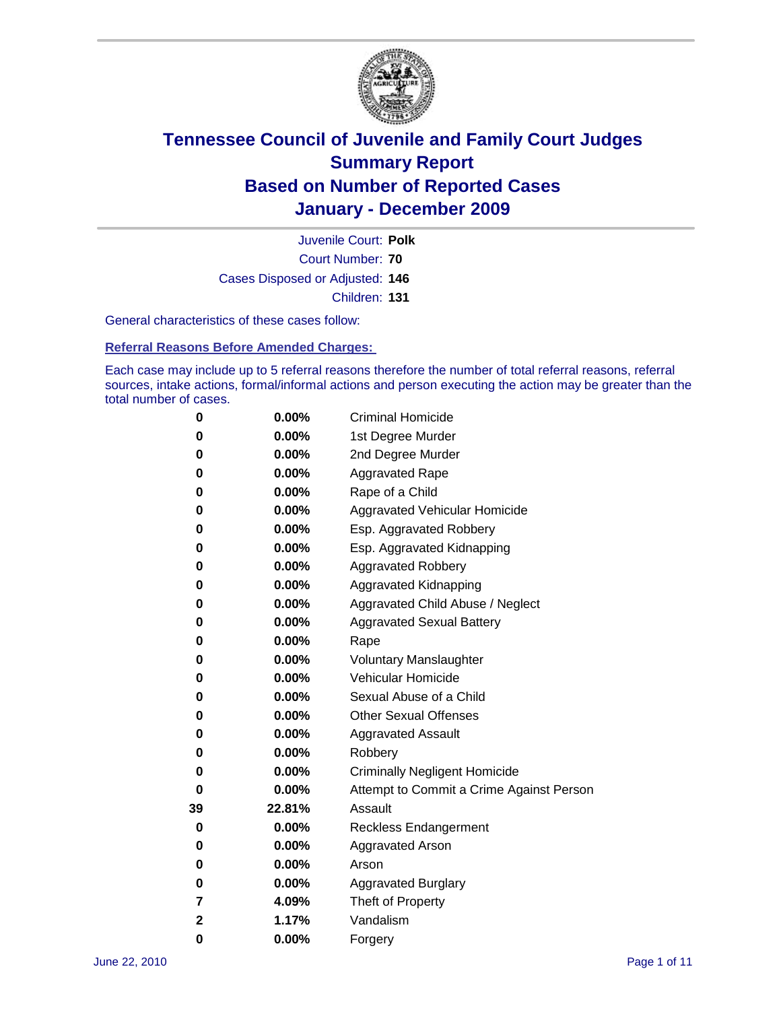

Court Number: **70** Juvenile Court: **Polk** Cases Disposed or Adjusted: **146** Children: **131**

General characteristics of these cases follow:

**Referral Reasons Before Amended Charges:** 

Each case may include up to 5 referral reasons therefore the number of total referral reasons, referral sources, intake actions, formal/informal actions and person executing the action may be greater than the total number of cases.

| 0  | 0.00%  | <b>Criminal Homicide</b>                 |  |  |  |
|----|--------|------------------------------------------|--|--|--|
| 0  | 0.00%  | 1st Degree Murder                        |  |  |  |
| 0  | 0.00%  | 2nd Degree Murder                        |  |  |  |
| 0  | 0.00%  | <b>Aggravated Rape</b>                   |  |  |  |
| 0  | 0.00%  | Rape of a Child                          |  |  |  |
| 0  | 0.00%  | Aggravated Vehicular Homicide            |  |  |  |
| 0  | 0.00%  | Esp. Aggravated Robbery                  |  |  |  |
| 0  | 0.00%  | Esp. Aggravated Kidnapping               |  |  |  |
| 0  | 0.00%  | <b>Aggravated Robbery</b>                |  |  |  |
| 0  | 0.00%  | Aggravated Kidnapping                    |  |  |  |
| 0  | 0.00%  | Aggravated Child Abuse / Neglect         |  |  |  |
| 0  | 0.00%  | <b>Aggravated Sexual Battery</b>         |  |  |  |
| 0  | 0.00%  | Rape                                     |  |  |  |
| 0  | 0.00%  | <b>Voluntary Manslaughter</b>            |  |  |  |
| 0  | 0.00%  | Vehicular Homicide                       |  |  |  |
| 0  | 0.00%  | Sexual Abuse of a Child                  |  |  |  |
| 0  | 0.00%  | <b>Other Sexual Offenses</b>             |  |  |  |
| 0  | 0.00%  | <b>Aggravated Assault</b>                |  |  |  |
| 0  | 0.00%  | Robbery                                  |  |  |  |
| 0  | 0.00%  | <b>Criminally Negligent Homicide</b>     |  |  |  |
| 0  | 0.00%  | Attempt to Commit a Crime Against Person |  |  |  |
| 39 | 22.81% | Assault                                  |  |  |  |
| 0  | 0.00%  | <b>Reckless Endangerment</b>             |  |  |  |
| 0  | 0.00%  | <b>Aggravated Arson</b>                  |  |  |  |
| 0  | 0.00%  | Arson                                    |  |  |  |
| 0  | 0.00%  | <b>Aggravated Burglary</b>               |  |  |  |
| 7  | 4.09%  | Theft of Property                        |  |  |  |
| 2  | 1.17%  | Vandalism                                |  |  |  |
| 0  | 0.00%  | Forgery                                  |  |  |  |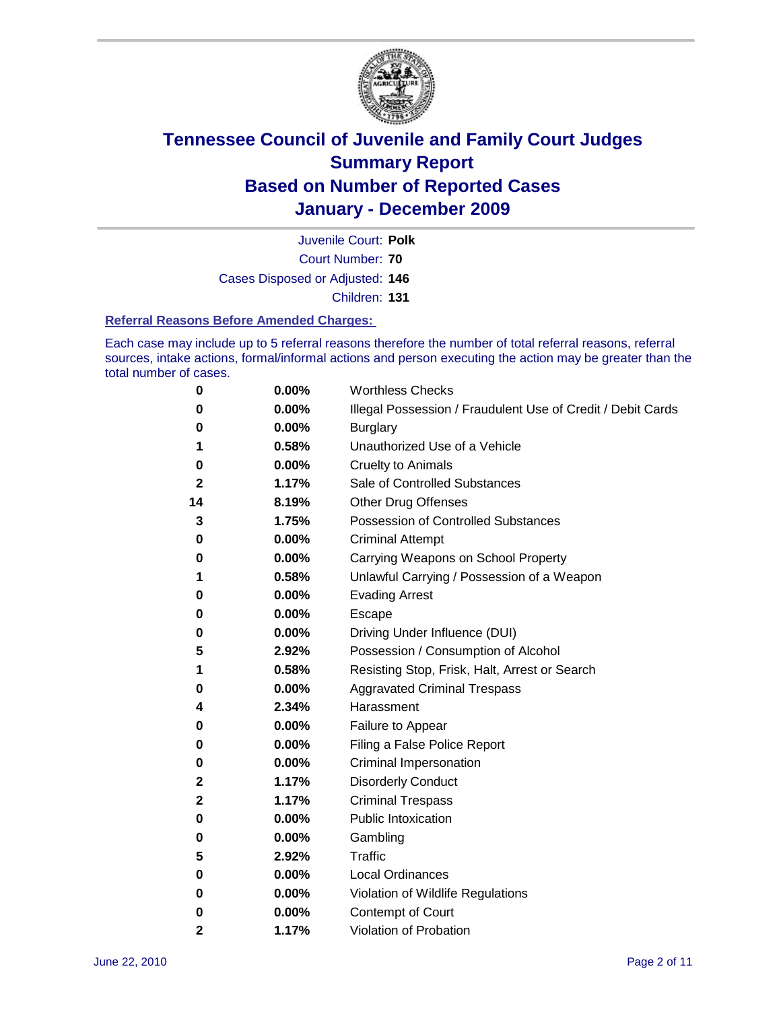

Court Number: **70** Juvenile Court: **Polk** Cases Disposed or Adjusted: **146** Children: **131**

#### **Referral Reasons Before Amended Charges:**

Each case may include up to 5 referral reasons therefore the number of total referral reasons, referral sources, intake actions, formal/informal actions and person executing the action may be greater than the total number of cases.

| 0            | 0.00% | <b>Worthless Checks</b>                                     |  |  |
|--------------|-------|-------------------------------------------------------------|--|--|
| 0            | 0.00% | Illegal Possession / Fraudulent Use of Credit / Debit Cards |  |  |
| 0            | 0.00% | <b>Burglary</b>                                             |  |  |
| 1            | 0.58% | Unauthorized Use of a Vehicle                               |  |  |
| 0            | 0.00% | <b>Cruelty to Animals</b>                                   |  |  |
| $\mathbf{2}$ | 1.17% | Sale of Controlled Substances                               |  |  |
| 14           | 8.19% | <b>Other Drug Offenses</b>                                  |  |  |
| 3            | 1.75% | Possession of Controlled Substances                         |  |  |
| 0            | 0.00% | <b>Criminal Attempt</b>                                     |  |  |
| 0            | 0.00% | Carrying Weapons on School Property                         |  |  |
| 1            | 0.58% | Unlawful Carrying / Possession of a Weapon                  |  |  |
| 0            | 0.00% | <b>Evading Arrest</b>                                       |  |  |
| 0            | 0.00% | Escape                                                      |  |  |
| 0            | 0.00% | Driving Under Influence (DUI)                               |  |  |
| 5            | 2.92% | Possession / Consumption of Alcohol                         |  |  |
| 1            | 0.58% | Resisting Stop, Frisk, Halt, Arrest or Search               |  |  |
| 0            | 0.00% | <b>Aggravated Criminal Trespass</b>                         |  |  |
| 4            | 2.34% | Harassment                                                  |  |  |
| 0            | 0.00% | Failure to Appear                                           |  |  |
| 0            | 0.00% | Filing a False Police Report                                |  |  |
| 0            | 0.00% | Criminal Impersonation                                      |  |  |
| 2            | 1.17% | <b>Disorderly Conduct</b>                                   |  |  |
| 2            | 1.17% | <b>Criminal Trespass</b>                                    |  |  |
| 0            | 0.00% | <b>Public Intoxication</b>                                  |  |  |
| 0            | 0.00% | Gambling                                                    |  |  |
| 5            | 2.92% | <b>Traffic</b>                                              |  |  |
| 0            | 0.00% | <b>Local Ordinances</b>                                     |  |  |
| 0            | 0.00% | Violation of Wildlife Regulations                           |  |  |
| 0            | 0.00% | Contempt of Court                                           |  |  |
| $\mathbf{2}$ | 1.17% | Violation of Probation                                      |  |  |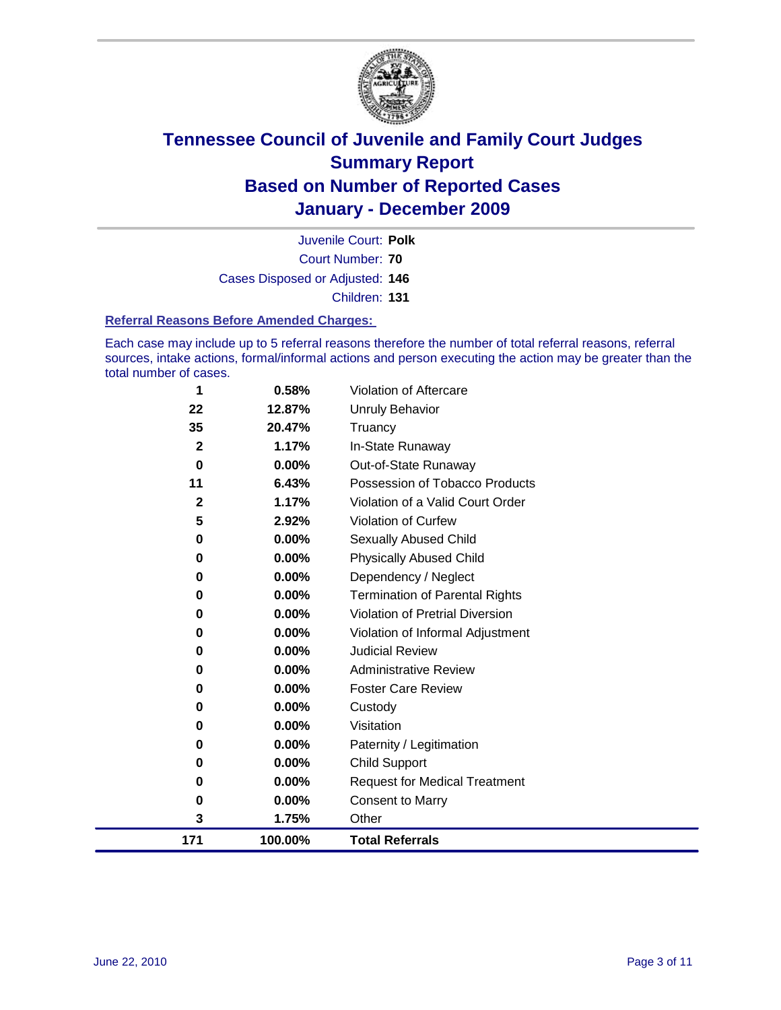

Court Number: **70** Juvenile Court: **Polk** Cases Disposed or Adjusted: **146** Children: **131**

#### **Referral Reasons Before Amended Charges:**

Each case may include up to 5 referral reasons therefore the number of total referral reasons, referral sources, intake actions, formal/informal actions and person executing the action may be greater than the total number of cases.

| 171                | 100.00%         | <b>Total Referrals</b>                 |
|--------------------|-----------------|----------------------------------------|
| 3                  | 1.75%           | Other                                  |
| 0                  | 0.00%           | <b>Consent to Marry</b>                |
| 0                  | 0.00%           | <b>Request for Medical Treatment</b>   |
| 0                  | 0.00%           | <b>Child Support</b>                   |
| 0                  | 0.00%           | Paternity / Legitimation               |
| 0                  | 0.00%           | Visitation                             |
| 0                  | 0.00%           | Custody                                |
| 0                  | 0.00%           | <b>Foster Care Review</b>              |
| 0                  | $0.00\%$        | <b>Administrative Review</b>           |
| 0                  | $0.00\%$        | <b>Judicial Review</b>                 |
| 0                  | 0.00%           | Violation of Informal Adjustment       |
| 0                  | 0.00%           | <b>Violation of Pretrial Diversion</b> |
| $\bf{0}$           | 0.00%           | <b>Termination of Parental Rights</b>  |
| 0                  | 0.00%           | Dependency / Neglect                   |
| $\bf{0}$           | 0.00%           | <b>Physically Abused Child</b>         |
| 0                  | 0.00%           | Sexually Abused Child                  |
| 5                  | 2.92%           | Violation of Curfew                    |
| $\mathbf{2}$       | 1.17%           | Violation of a Valid Court Order       |
| 11                 | 6.43%           | Possession of Tobacco Products         |
| $\mathbf 0$        | 0.00%           | Out-of-State Runaway                   |
| 35<br>$\mathbf{2}$ | 20.47%<br>1.17% | Truancy<br>In-State Runaway            |
| 22                 | 12.87%          | <b>Unruly Behavior</b>                 |
|                    |                 |                                        |
| 1                  | 0.58%           | <b>Violation of Aftercare</b>          |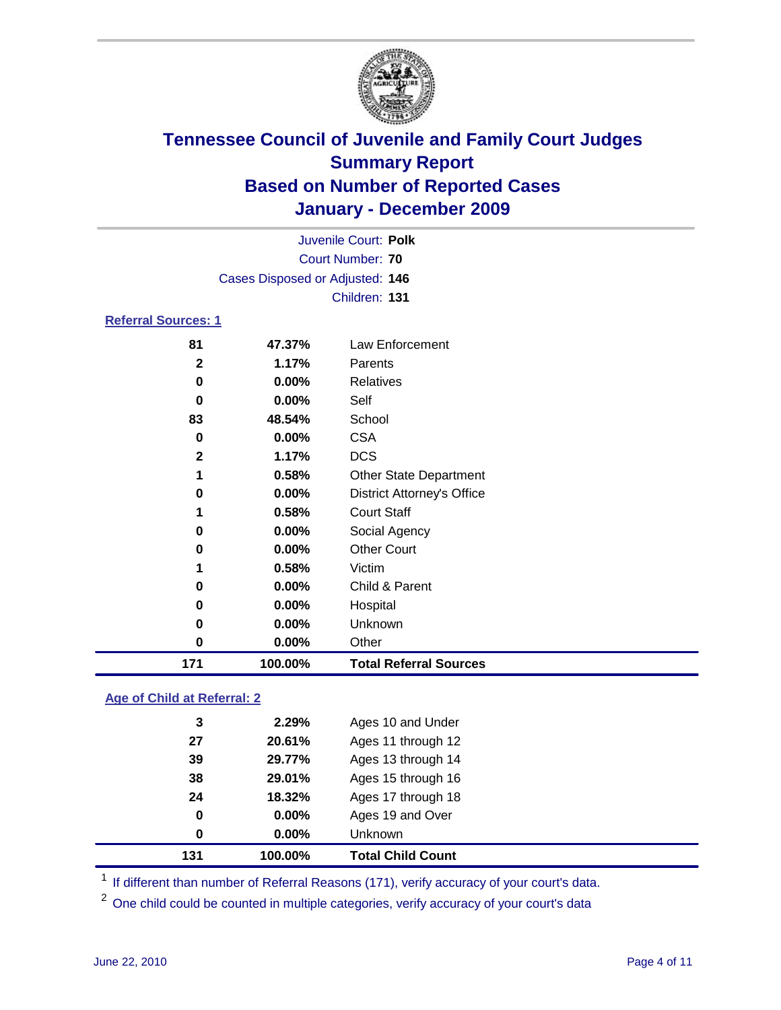

|                            | Juvenile Court: Polk            |                                   |  |  |
|----------------------------|---------------------------------|-----------------------------------|--|--|
|                            | <b>Court Number: 70</b>         |                                   |  |  |
|                            | Cases Disposed or Adjusted: 146 |                                   |  |  |
|                            | Children: 131                   |                                   |  |  |
| <b>Referral Sources: 1</b> |                                 |                                   |  |  |
| 81                         | 47.37%                          | Law Enforcement                   |  |  |
| $\mathbf{2}$               | 1.17%                           | Parents                           |  |  |
| 0                          | 0.00%                           | <b>Relatives</b>                  |  |  |
| 0                          | 0.00%                           | Self                              |  |  |
| 83                         | 48.54%                          | School                            |  |  |
| 0                          | 0.00%                           | <b>CSA</b>                        |  |  |
| $\mathbf{2}$               | 1.17%                           | <b>DCS</b>                        |  |  |
| 1                          | 0.58%                           | <b>Other State Department</b>     |  |  |
| 0                          | 0.00%                           | <b>District Attorney's Office</b> |  |  |
| 1                          | 0.58%                           | <b>Court Staff</b>                |  |  |
| 0                          | 0.00%                           | Social Agency                     |  |  |
| 0                          | 0.00%                           | <b>Other Court</b>                |  |  |
| 1                          | 0.58%                           | Victim                            |  |  |
| 0                          | 0.00%                           | Child & Parent                    |  |  |
| 0                          | 0.00%                           | Hospital                          |  |  |
| 0                          | 0.00%                           | Unknown                           |  |  |
| $\bf{0}$                   | 0.00%                           | Other                             |  |  |
| 171                        | 100.00%                         | <b>Total Referral Sources</b>     |  |  |

### **Age of Child at Referral: 2**

| 24<br>0<br>0 | 18.32%<br>0.00%<br>0.00% | Ages 17 through 18<br>Ages 19 and Over<br><b>Unknown</b> |
|--------------|--------------------------|----------------------------------------------------------|
|              |                          |                                                          |
|              |                          |                                                          |
|              |                          |                                                          |
| 38           | 29.01%                   | Ages 15 through 16                                       |
| 39           | 29.77%                   | Ages 13 through 14                                       |
| 27           | 20.61%                   | Ages 11 through 12                                       |
|              | 2.29%                    | Ages 10 and Under                                        |
|              | 3                        |                                                          |

<sup>1</sup> If different than number of Referral Reasons (171), verify accuracy of your court's data.

<sup>2</sup> One child could be counted in multiple categories, verify accuracy of your court's data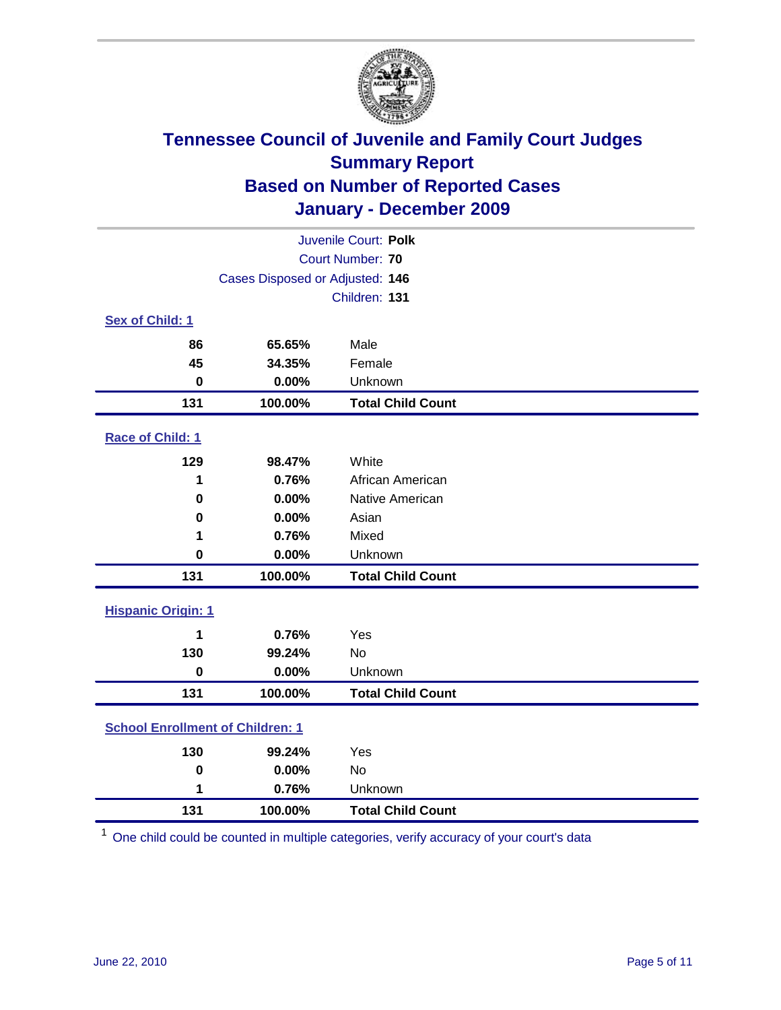

| Juvenile Court: Polk                    |                                 |                          |  |  |
|-----------------------------------------|---------------------------------|--------------------------|--|--|
|                                         | Court Number: 70                |                          |  |  |
|                                         | Cases Disposed or Adjusted: 146 |                          |  |  |
|                                         |                                 | Children: 131            |  |  |
| Sex of Child: 1                         |                                 |                          |  |  |
| 86                                      | 65.65%                          | Male                     |  |  |
| 45                                      | 34.35%                          | Female                   |  |  |
| $\mathbf 0$                             | 0.00%                           | Unknown                  |  |  |
| 131                                     | 100.00%                         | <b>Total Child Count</b> |  |  |
| Race of Child: 1                        |                                 |                          |  |  |
| 129                                     | 98.47%                          | White                    |  |  |
| 1                                       | 0.76%                           | African American         |  |  |
| 0                                       | 0.00%                           | Native American          |  |  |
| 0                                       | 0.00%                           | Asian                    |  |  |
| 1                                       | 0.76%                           | Mixed                    |  |  |
| $\mathbf 0$                             | 0.00%                           | Unknown                  |  |  |
| 131                                     | 100.00%                         | <b>Total Child Count</b> |  |  |
| <b>Hispanic Origin: 1</b>               |                                 |                          |  |  |
| 1                                       | 0.76%                           | Yes                      |  |  |
| 130                                     | 99.24%                          | No                       |  |  |
| $\mathbf 0$                             | 0.00%                           | Unknown                  |  |  |
| 131                                     | 100.00%                         | <b>Total Child Count</b> |  |  |
| <b>School Enrollment of Children: 1</b> |                                 |                          |  |  |
| 130                                     | 99.24%                          | Yes                      |  |  |
| $\mathbf 0$                             | 0.00%                           | <b>No</b>                |  |  |
| 1                                       | 0.76%                           | Unknown                  |  |  |
| 131                                     | 100.00%                         | <b>Total Child Count</b> |  |  |

One child could be counted in multiple categories, verify accuracy of your court's data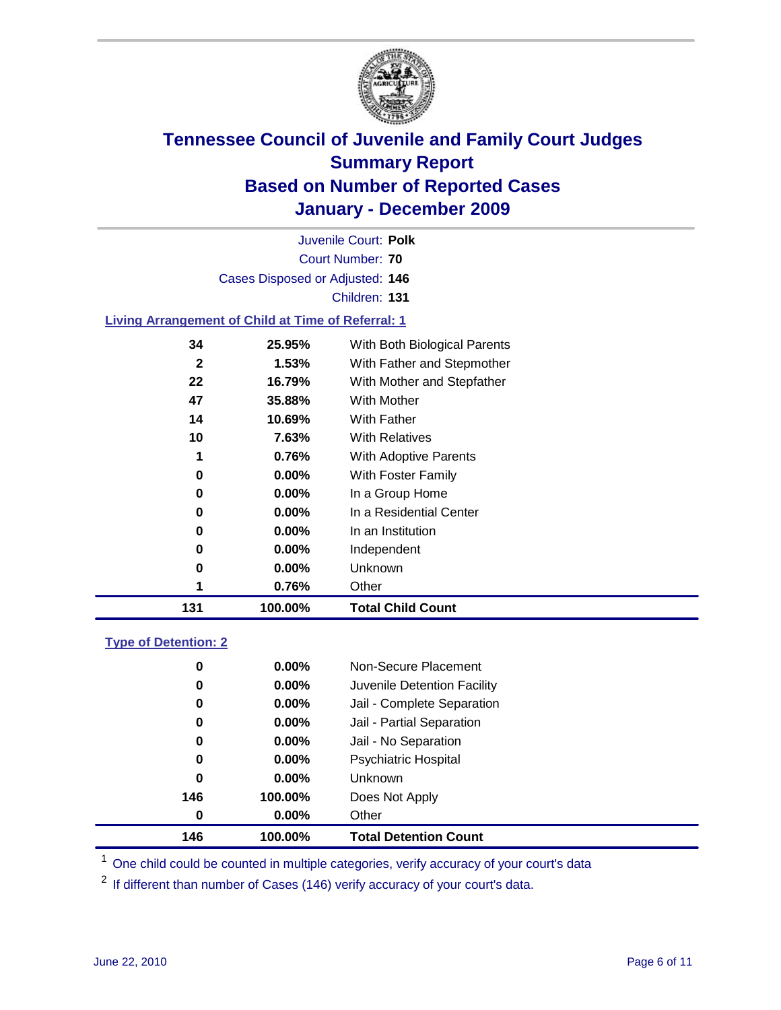

Court Number: **70** Juvenile Court: **Polk** Cases Disposed or Adjusted: **146** Children: **131**

### **Living Arrangement of Child at Time of Referral: 1**

| 131          | 100.00%  | <b>Total Child Count</b>     |
|--------------|----------|------------------------------|
| 1            | 0.76%    | Other                        |
| 0            | $0.00\%$ | Unknown                      |
| 0            | $0.00\%$ | Independent                  |
| 0            | 0.00%    | In an Institution            |
| 0            | $0.00\%$ | In a Residential Center      |
| 0            | $0.00\%$ | In a Group Home              |
| 0            | 0.00%    | With Foster Family           |
| 1            | 0.76%    | With Adoptive Parents        |
| 10           | 7.63%    | <b>With Relatives</b>        |
| 14           | 10.69%   | <b>With Father</b>           |
| 47           | 35.88%   | With Mother                  |
| 22           | 16.79%   | With Mother and Stepfather   |
| $\mathbf{2}$ | 1.53%    | With Father and Stepmother   |
| 34           | 25.95%   | With Both Biological Parents |
|              |          |                              |

### **Type of Detention: 2**

| 146 | 100.00%  | <b>Total Detention Count</b> |  |
|-----|----------|------------------------------|--|
| 0   | $0.00\%$ | Other                        |  |
| 146 | 100.00%  | Does Not Apply               |  |
| 0   | $0.00\%$ | Unknown                      |  |
| 0   | 0.00%    | <b>Psychiatric Hospital</b>  |  |
| 0   | 0.00%    | Jail - No Separation         |  |
| 0   | $0.00\%$ | Jail - Partial Separation    |  |
| 0   | $0.00\%$ | Jail - Complete Separation   |  |
| 0   | 0.00%    | Juvenile Detention Facility  |  |
| 0   | $0.00\%$ | Non-Secure Placement         |  |
|     |          |                              |  |

<sup>1</sup> One child could be counted in multiple categories, verify accuracy of your court's data

<sup>2</sup> If different than number of Cases (146) verify accuracy of your court's data.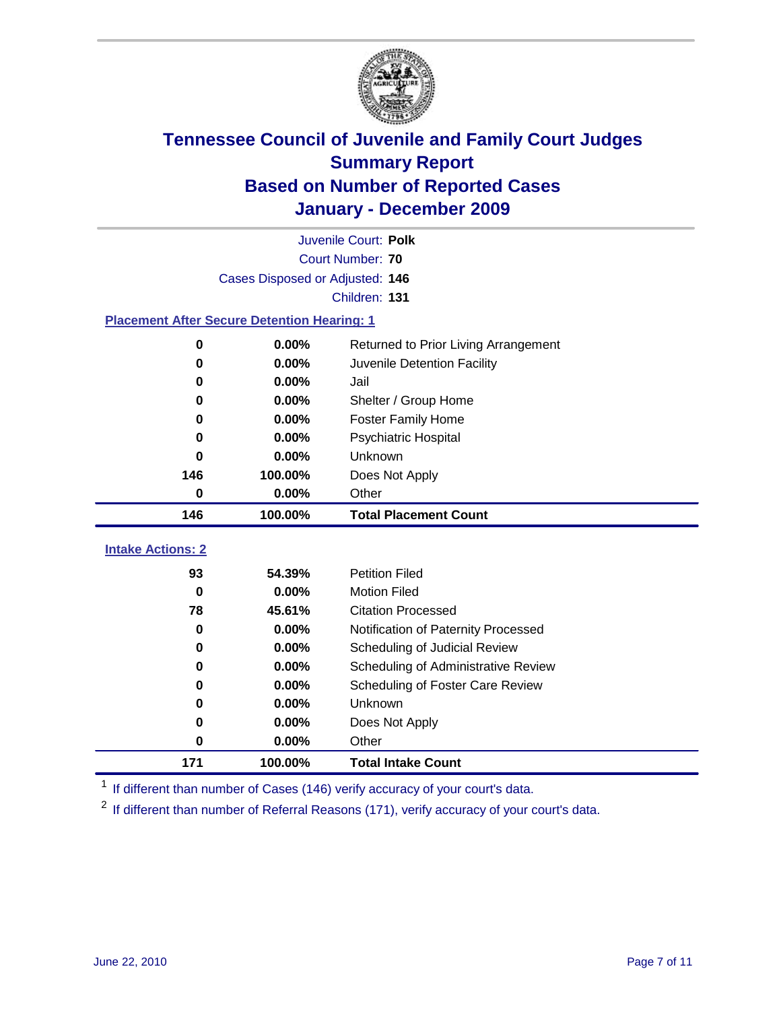

|                          | Juvenile Court: Polk                               |                                      |  |  |  |
|--------------------------|----------------------------------------------------|--------------------------------------|--|--|--|
|                          | <b>Court Number: 70</b>                            |                                      |  |  |  |
|                          | Cases Disposed or Adjusted: 146                    |                                      |  |  |  |
|                          |                                                    | Children: 131                        |  |  |  |
|                          | <b>Placement After Secure Detention Hearing: 1</b> |                                      |  |  |  |
| $\mathbf 0$              | 0.00%                                              | Returned to Prior Living Arrangement |  |  |  |
| $\bf{0}$                 | 0.00%                                              | Juvenile Detention Facility          |  |  |  |
| 0                        | 0.00%                                              | Jail                                 |  |  |  |
| 0                        | 0.00%                                              | Shelter / Group Home                 |  |  |  |
| 0                        | 0.00%                                              | Foster Family Home                   |  |  |  |
| 0                        | 0.00%                                              | Psychiatric Hospital                 |  |  |  |
| 0                        | 0.00%                                              | Unknown                              |  |  |  |
| 146                      | 100.00%                                            | Does Not Apply                       |  |  |  |
| $\bf{0}$                 | 0.00%                                              | Other                                |  |  |  |
| 146                      | 100.00%                                            | <b>Total Placement Count</b>         |  |  |  |
| <b>Intake Actions: 2</b> |                                                    |                                      |  |  |  |
|                          |                                                    |                                      |  |  |  |
| 93                       | 54.39%                                             | <b>Petition Filed</b>                |  |  |  |
| $\bf{0}$                 | 0.00%                                              | <b>Motion Filed</b>                  |  |  |  |
| 78                       | 45.61%                                             | <b>Citation Processed</b>            |  |  |  |
| $\bf{0}$                 | 0.00%                                              | Notification of Paternity Processed  |  |  |  |
| $\mathbf 0$              | 0.00%                                              | Scheduling of Judicial Review        |  |  |  |
| $\bf{0}$                 | 0.00%                                              | Scheduling of Administrative Review  |  |  |  |
| 0                        | 0.00%                                              | Scheduling of Foster Care Review     |  |  |  |
| $\bf{0}$                 | 0.00%                                              | Unknown                              |  |  |  |
| 0                        | 0.00%                                              | Does Not Apply                       |  |  |  |
| $\bf{0}$                 | 0.00%                                              | Other                                |  |  |  |
| 171                      | 100.00%                                            | <b>Total Intake Count</b>            |  |  |  |

<sup>1</sup> If different than number of Cases (146) verify accuracy of your court's data.

<sup>2</sup> If different than number of Referral Reasons (171), verify accuracy of your court's data.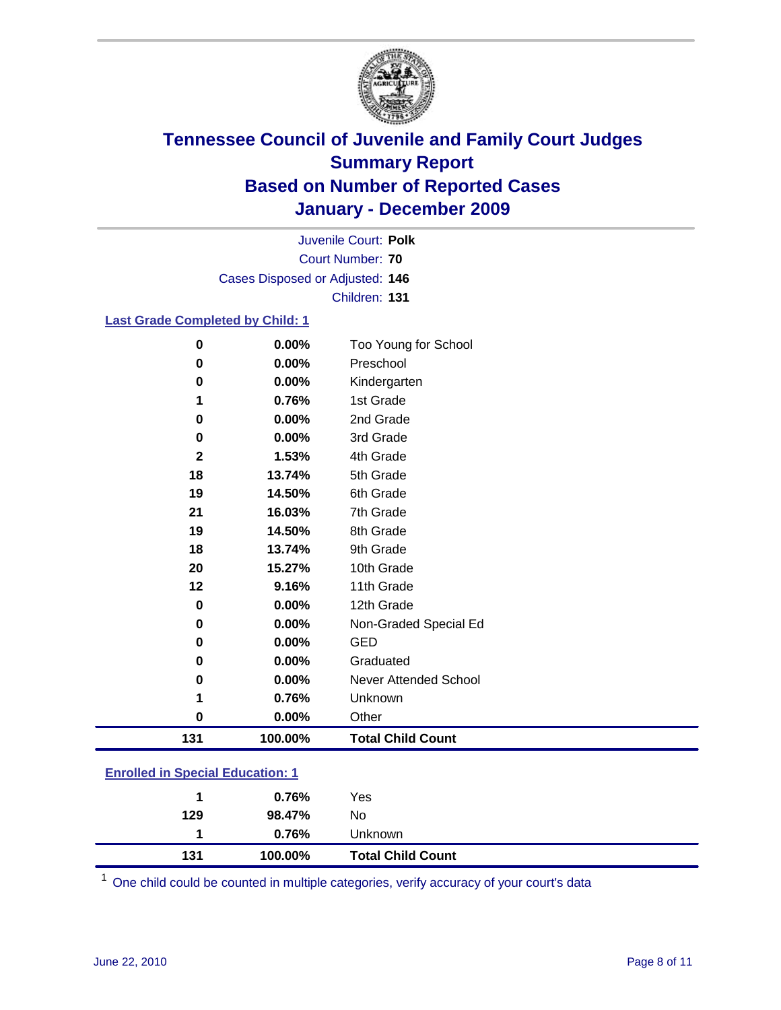

Court Number: **70** Juvenile Court: **Polk** Cases Disposed or Adjusted: **146** Children: **131**

### **Last Grade Completed by Child: 1**

| $\bf{0}$                    | 0.00%    | Too Young for School         |  |
|-----------------------------|----------|------------------------------|--|
| 0                           | 0.00%    | Preschool                    |  |
| $\bf{0}$                    | 0.00%    | Kindergarten                 |  |
| 1                           | 0.76%    | 1st Grade                    |  |
| 0                           | 0.00%    | 2nd Grade                    |  |
| $\bf{0}$                    | 0.00%    | 3rd Grade                    |  |
| $\mathbf{2}$                | 1.53%    | 4th Grade                    |  |
| 18                          | 13.74%   | 5th Grade                    |  |
| 19                          | 14.50%   | 6th Grade                    |  |
| 21                          | 16.03%   | 7th Grade                    |  |
| 19                          | 14.50%   | 8th Grade                    |  |
| 18                          | 13.74%   | 9th Grade                    |  |
| 20                          | 15.27%   | 10th Grade                   |  |
| 12                          | 9.16%    | 11th Grade                   |  |
| $\bf{0}$                    | 0.00%    | 12th Grade                   |  |
| $\bf{0}$                    | 0.00%    | Non-Graded Special Ed        |  |
| 0                           | 0.00%    | <b>GED</b>                   |  |
| $\bf{0}$                    | 0.00%    | Graduated                    |  |
| $\bf{0}$                    | 0.00%    | <b>Never Attended School</b> |  |
| 1                           | 0.76%    | Unknown                      |  |
| $\bf{0}$                    | $0.00\%$ | Other                        |  |
| 131                         | 100.00%  | <b>Total Child Count</b>     |  |
| ふしょうきょ 日本 けいしょうほう<br>$\sim$ |          |                              |  |

### **Enrolled in Special Education: 1**

| 131 | 100.00% | <b>Total Child Count</b> |  |
|-----|---------|--------------------------|--|
|     | 0.76%   | <b>Unknown</b>           |  |
| 129 | 98.47%  | No.                      |  |
|     | 0.76%   | Yes                      |  |
|     |         |                          |  |

One child could be counted in multiple categories, verify accuracy of your court's data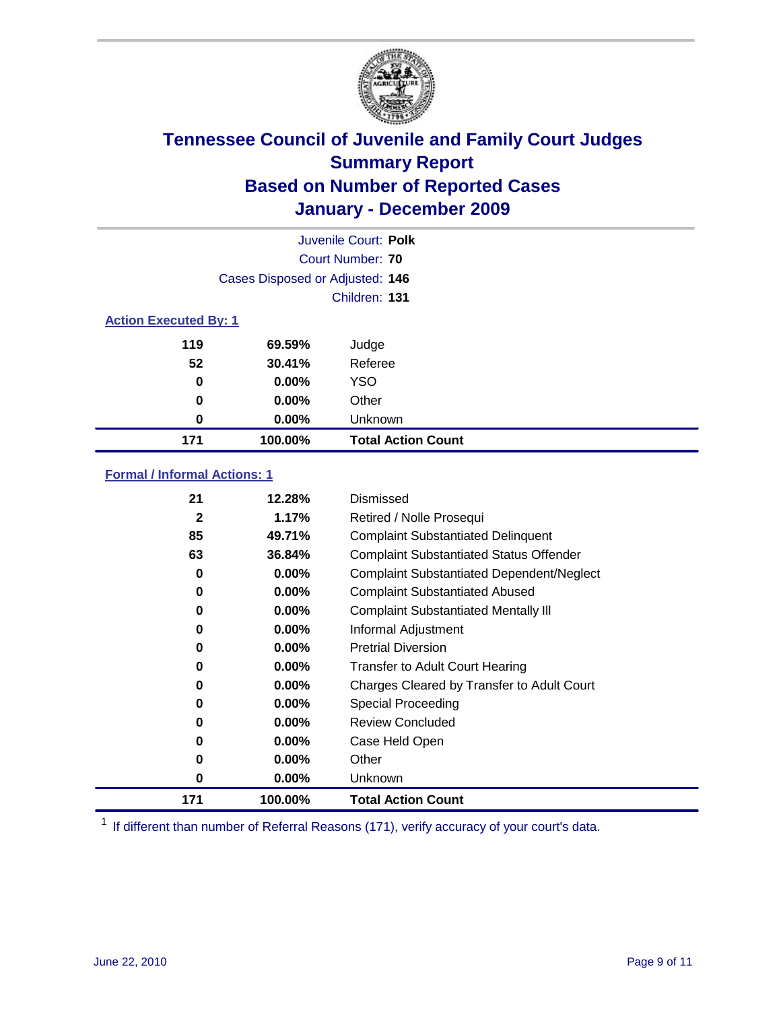

|                              | Juvenile Court: Polk            |                           |  |  |
|------------------------------|---------------------------------|---------------------------|--|--|
|                              | Court Number: 70                |                           |  |  |
|                              | Cases Disposed or Adjusted: 146 |                           |  |  |
|                              | Children: 131                   |                           |  |  |
| <b>Action Executed By: 1</b> |                                 |                           |  |  |
| 119                          | 69.59%                          | Judge                     |  |  |
| 52                           | 30.41%                          | Referee                   |  |  |
| 0                            | 0.00%                           | <b>YSO</b>                |  |  |
| 0                            | 0.00%                           | Other                     |  |  |
| 0                            | 0.00%                           | Unknown                   |  |  |
| 171                          | 100.00%                         | <b>Total Action Count</b> |  |  |

### **Formal / Informal Actions: 1**

| 21           | 12.28%   | Dismissed                                        |
|--------------|----------|--------------------------------------------------|
| $\mathbf{2}$ | 1.17%    | Retired / Nolle Prosequi                         |
| 85           | 49.71%   | <b>Complaint Substantiated Delinquent</b>        |
| 63           | 36.84%   | <b>Complaint Substantiated Status Offender</b>   |
| 0            | $0.00\%$ | <b>Complaint Substantiated Dependent/Neglect</b> |
| 0            | $0.00\%$ | <b>Complaint Substantiated Abused</b>            |
| 0            | $0.00\%$ | <b>Complaint Substantiated Mentally III</b>      |
| 0            | $0.00\%$ | Informal Adjustment                              |
| 0            | $0.00\%$ | <b>Pretrial Diversion</b>                        |
| 0            | $0.00\%$ | <b>Transfer to Adult Court Hearing</b>           |
| 0            | $0.00\%$ | Charges Cleared by Transfer to Adult Court       |
| 0            | $0.00\%$ | Special Proceeding                               |
| 0            | $0.00\%$ | <b>Review Concluded</b>                          |
| 0            | $0.00\%$ | Case Held Open                                   |
| 0            | $0.00\%$ | Other                                            |
| 0            | $0.00\%$ | Unknown                                          |
| 171          | 100.00%  | <b>Total Action Count</b>                        |

<sup>1</sup> If different than number of Referral Reasons (171), verify accuracy of your court's data.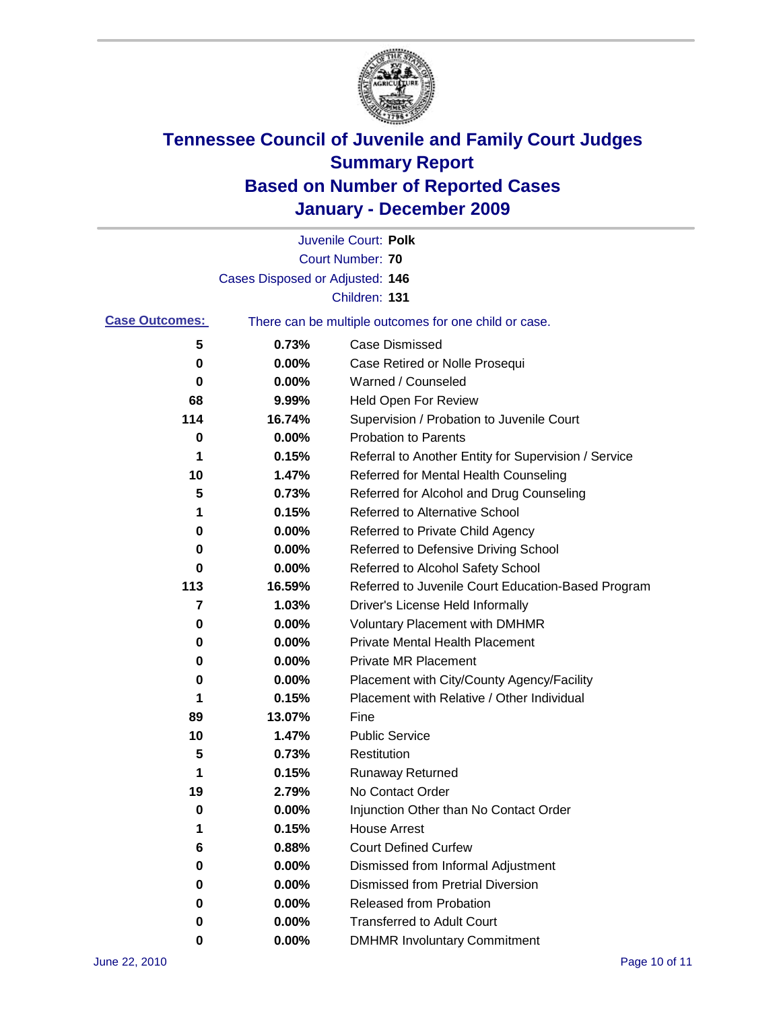

|                       |                                 | Juvenile Court: Polk                                  |
|-----------------------|---------------------------------|-------------------------------------------------------|
|                       |                                 | <b>Court Number: 70</b>                               |
|                       | Cases Disposed or Adjusted: 146 |                                                       |
|                       |                                 | Children: 131                                         |
| <b>Case Outcomes:</b> |                                 | There can be multiple outcomes for one child or case. |
| 5                     | 0.73%                           | <b>Case Dismissed</b>                                 |
| 0                     | $0.00\%$                        | Case Retired or Nolle Prosequi                        |
| 0                     | 0.00%                           | Warned / Counseled                                    |
| 68                    | 9.99%                           | Held Open For Review                                  |
| 114                   | 16.74%                          | Supervision / Probation to Juvenile Court             |
| 0                     | 0.00%                           | <b>Probation to Parents</b>                           |
| 1                     | 0.15%                           | Referral to Another Entity for Supervision / Service  |
| 10                    | 1.47%                           | Referred for Mental Health Counseling                 |
| 5                     | 0.73%                           | Referred for Alcohol and Drug Counseling              |
| 1                     | 0.15%                           | <b>Referred to Alternative School</b>                 |
| 0                     | 0.00%                           | Referred to Private Child Agency                      |
| 0                     | $0.00\%$                        | Referred to Defensive Driving School                  |
| 0                     | 0.00%                           | Referred to Alcohol Safety School                     |
| 113                   | 16.59%                          | Referred to Juvenile Court Education-Based Program    |
| 7                     | 1.03%                           | Driver's License Held Informally                      |
| 0                     | 0.00%                           | <b>Voluntary Placement with DMHMR</b>                 |
| 0                     | 0.00%                           | <b>Private Mental Health Placement</b>                |
| 0                     | 0.00%                           | <b>Private MR Placement</b>                           |
| 0                     | 0.00%                           | Placement with City/County Agency/Facility            |
| 1                     | 0.15%                           | Placement with Relative / Other Individual            |
| 89                    | 13.07%                          | Fine                                                  |
| 10                    | 1.47%                           | <b>Public Service</b>                                 |
| 5                     | 0.73%                           | Restitution                                           |
| 1                     | 0.15%                           | <b>Runaway Returned</b>                               |
| 19                    | 2.79%                           | No Contact Order                                      |
| U                     | 0.00%                           | Injunction Other than No Contact Order                |
| 1                     | 0.15%                           | <b>House Arrest</b>                                   |
| 6                     | 0.88%                           | <b>Court Defined Curfew</b>                           |
| 0                     | 0.00%                           | Dismissed from Informal Adjustment                    |
| 0                     | 0.00%                           | <b>Dismissed from Pretrial Diversion</b>              |
| 0                     | 0.00%                           | Released from Probation                               |
| 0                     | 0.00%                           | <b>Transferred to Adult Court</b>                     |
| 0                     | $0.00\%$                        | <b>DMHMR Involuntary Commitment</b>                   |